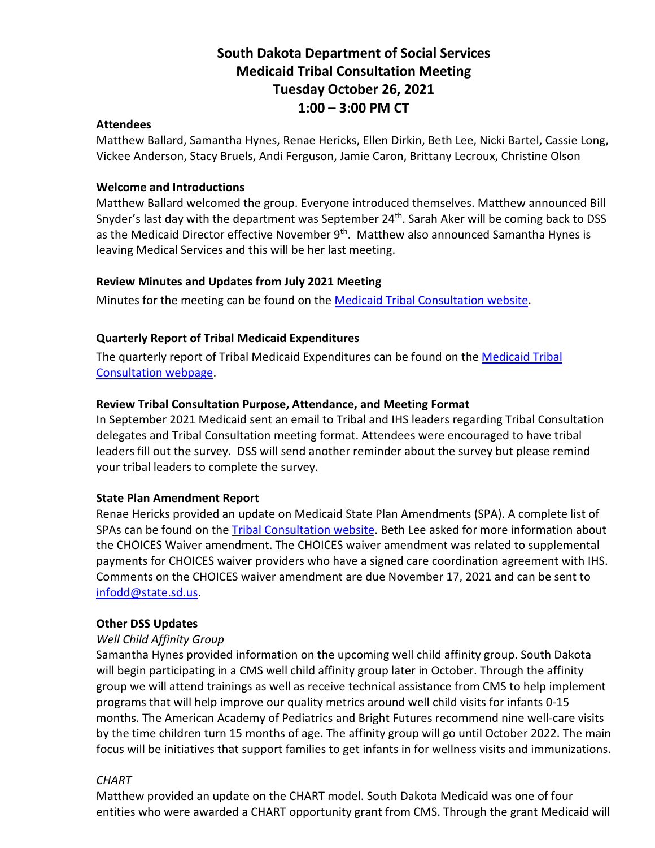# **South Dakota Department of Social Services Medicaid Tribal Consultation Meeting Tuesday October 26, 2021 1:00 – 3:00 PM CT**

#### **Attendees**

Matthew Ballard, Samantha Hynes, Renae Hericks, Ellen Dirkin, Beth Lee, Nicki Bartel, Cassie Long, Vickee Anderson, Stacy Bruels, Andi Ferguson, Jamie Caron, Brittany Lecroux, Christine Olson

### **Welcome and Introductions**

Matthew Ballard welcomed the group. Everyone introduced themselves. Matthew announced Bill Snyder's last day with the department was September 24<sup>th</sup>. Sarah Aker will be coming back to DSS as the Medicaid Director effective November 9<sup>th</sup>. Matthew also announced Samantha Hynes is leaving Medical Services and this will be her last meeting.

### **Review Minutes and Updates from July 2021 Meeting**

Minutes for the meeting can be found on th[e Medicaid Tribal Consultation website.](https://dss.sd.gov/medicaid/generalinfo/tribalconsultation.aspx)

## **Quarterly Report of Tribal Medicaid Expenditures**

The quarterly report of Tribal Medicaid Expenditures can be found on the Medicaid Tribal [Consultation webpage.](https://dss.sd.gov/medicaid/generalinfo/tribalconsultation.aspx)

## **Review Tribal Consultation Purpose, Attendance, and Meeting Format**

In September 2021 Medicaid sent an email to Tribal and IHS leaders regarding Tribal Consultation delegates and Tribal Consultation meeting format. Attendees were encouraged to have tribal leaders fill out the survey. DSS will send another reminder about the survey but please remind your tribal leaders to complete the survey.

### **State Plan Amendment Report**

Renae Hericks provided an update on Medicaid State Plan Amendments (SPA). A complete list of SPAs can be found on the [Tribal Consultation website.](https://dss.sd.gov/medicaid/generalinfo/tribalconsultation.aspx) Beth Lee asked for more information about the CHOICES Waiver amendment. The CHOICES waiver amendment was related to supplemental payments for CHOICES waiver providers who have a signed care coordination agreement with IHS. Comments on the CHOICES waiver amendment are due November 17, 2021 and can be sent to [infodd@state.sd.us.](mailto:infodd@state.sd.us)

### **Other DSS Updates**

### *Well Child Affinity Group*

Samantha Hynes provided information on the upcoming well child affinity group. South Dakota will begin participating in a CMS well child affinity group later in October. Through the affinity group we will attend trainings as well as receive technical assistance from CMS to help implement programs that will help improve our quality metrics around well child visits for infants 0-15 months. The American Academy of Pediatrics and Bright Futures recommend nine well-care visits by the time children turn 15 months of age. The affinity group will go until October 2022. The main focus will be initiatives that support families to get infants in for wellness visits and immunizations.

### *CHART*

Matthew provided an update on the CHART model. South Dakota Medicaid was one of four entities who were awarded a CHART opportunity grant from CMS. Through the grant Medicaid will